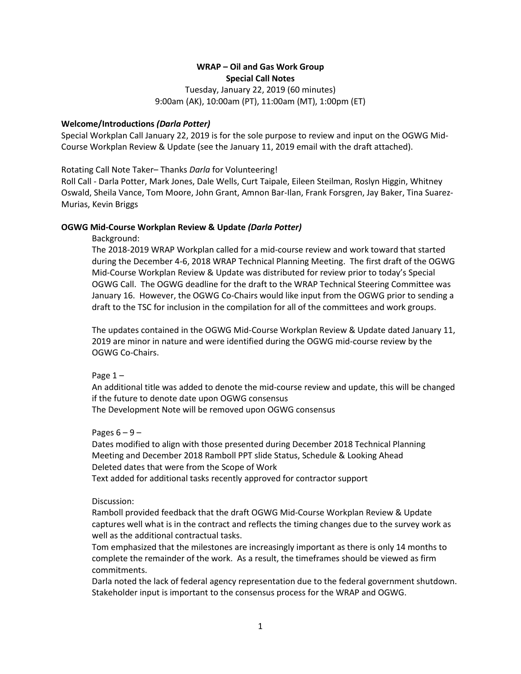# **WRAP – Oil and Gas Work Group Special Call Notes**

Tuesday, January 22, 2019 (60 minutes) 9:00am (AK), 10:00am (PT), 11:00am (MT), 1:00pm (ET)

## **Welcome/Introductions** *(Darla Potter)*

Special Workplan Call January 22, 2019 is for the sole purpose to review and input on the OGWG Mid-Course Workplan Review & Update (see the January 11, 2019 email with the draft attached).

Rotating Call Note Taker– Thanks *Darla* for Volunteering!

Roll Call - Darla Potter, Mark Jones, Dale Wells, Curt Taipale, Eileen Steilman, Roslyn Higgin, Whitney Oswald, Sheila Vance, Tom Moore, John Grant, Amnon Bar-Ilan, Frank Forsgren, Jay Baker, Tina Suarez-Murias, Kevin Briggs

# **OGWG Mid-Course Workplan Review & Update** *(Darla Potter)*

Background:

The 2018-2019 WRAP Workplan called for a mid-course review and work toward that started during the December 4-6, 2018 WRAP Technical Planning Meeting. The first draft of the OGWG Mid-Course Workplan Review & Update was distributed for review prior to today's Special OGWG Call. The OGWG deadline for the draft to the WRAP Technical Steering Committee was January 16. However, the OGWG Co-Chairs would like input from the OGWG prior to sending a draft to the TSC for inclusion in the compilation for all of the committees and work groups.

The updates contained in the OGWG Mid-Course Workplan Review & Update dated January 11, 2019 are minor in nature and were identified during the OGWG mid-course review by the OGWG Co-Chairs.

Page  $1 -$ 

An additional title was added to denote the mid-course review and update, this will be changed if the future to denote date upon OGWG consensus

The Development Note will be removed upon OGWG consensus

Pages  $6 - 9 -$ 

Dates modified to align with those presented during December 2018 Technical Planning Meeting and December 2018 Ramboll PPT slide Status, Schedule & Looking Ahead Deleted dates that were from the Scope of Work

Text added for additional tasks recently approved for contractor support

Discussion:

Ramboll provided feedback that the draft OGWG Mid-Course Workplan Review & Update captures well what is in the contract and reflects the timing changes due to the survey work as well as the additional contractual tasks.

Tom emphasized that the milestones are increasingly important as there is only 14 months to complete the remainder of the work. As a result, the timeframes should be viewed as firm commitments.

Darla noted the lack of federal agency representation due to the federal government shutdown. Stakeholder input is important to the consensus process for the WRAP and OGWG.